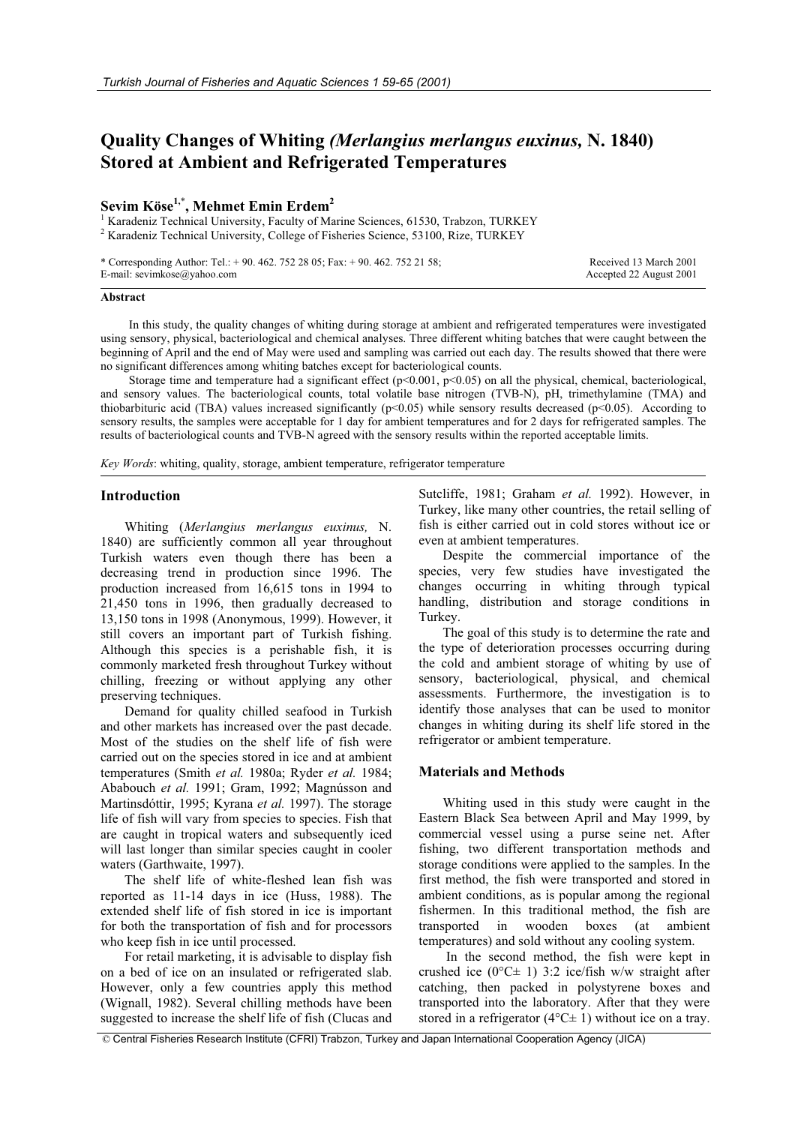# **Quality Changes of Whiting** *(Merlangius merlangus euxinus,* **N. 1840) Stored at Ambient and Refrigerated Temperatures**

## **Sevim Köse1,**\* **, Mehmet Emin Erdem2**

<sup>1</sup> Karadeniz Technical University, Faculty of Marine Sciences, 61530, Trabzon, TURKEY <sup>2</sup> Karadeniz Technical University, College of Fisheries Science, 53100, Rize, TURKEY

\* Corresponding Author: Tel.: + 90. 462. 752 28 05; Fax: + 90. 462. 752 21 58; E-mail: sevimkose@yahoo.com

Received 13 March 2001 Accepted 22 August 2001

#### **Abstract**

In this study, the quality changes of whiting during storage at ambient and refrigerated temperatures were investigated using sensory, physical, bacteriological and chemical analyses. Three different whiting batches that were caught between the beginning of April and the end of May were used and sampling was carried out each day. The results showed that there were no significant differences among whiting batches except for bacteriological counts.

Storage time and temperature had a significant effect (p<0.001, p<0.05) on all the physical, chemical, bacteriological, and sensory values. The bacteriological counts, total volatile base nitrogen (TVB-N), pH, trimethylamine (TMA) and thiobarbituric acid (TBA) values increased significantly ( $p<0.05$ ) while sensory results decreased ( $p<0.05$ ). According to sensory results, the samples were acceptable for 1 day for ambient temperatures and for 2 days for refrigerated samples. The results of bacteriological counts and TVB-N agreed with the sensory results within the reported acceptable limits.

*Key Words*: whiting, quality, storage, ambient temperature, refrigerator temperature

### **Introduction**

Whiting (*Merlangius merlangus euxinus,* N. 1840) are sufficiently common all year throughout Turkish waters even though there has been a decreasing trend in production since 1996. The production increased from 16,615 tons in 1994 to 21,450 tons in 1996, then gradually decreased to 13,150 tons in 1998 (Anonymous, 1999). However, it still covers an important part of Turkish fishing. Although this species is a perishable fish, it is commonly marketed fresh throughout Turkey without chilling, freezing or without applying any other preserving techniques.

Demand for quality chilled seafood in Turkish and other markets has increased over the past decade. Most of the studies on the shelf life of fish were carried out on the species stored in ice and at ambient temperatures (Smith *et al.* 1980a; Ryder *et al.* 1984; Ababouch *et al.* 1991; Gram, 1992; Magnússon and Martinsdóttir, 1995; Kyrana *et al.* 1997). The storage life of fish will vary from species to species. Fish that are caught in tropical waters and subsequently iced will last longer than similar species caught in cooler waters (Garthwaite, 1997).

The shelf life of white-fleshed lean fish was reported as 11-14 days in ice (Huss, 1988). The extended shelf life of fish stored in ice is important for both the transportation of fish and for processors who keep fish in ice until processed.

For retail marketing, it is advisable to display fish on a bed of ice on an insulated or refrigerated slab. However, only a few countries apply this method (Wignall, 1982). Several chilling methods have been suggested to increase the shelf life of fish (Clucas and

Sutcliffe, 1981; Graham *et al.* 1992). However, in Turkey, like many other countries, the retail selling of fish is either carried out in cold stores without ice or even at ambient temperatures.

Despite the commercial importance of the species, very few studies have investigated the changes occurring in whiting through typical handling, distribution and storage conditions in Turkey.

The goal of this study is to determine the rate and the type of deterioration processes occurring during the cold and ambient storage of whiting by use of sensory, bacteriological, physical, and chemical assessments. Furthermore, the investigation is to identify those analyses that can be used to monitor changes in whiting during its shelf life stored in the refrigerator or ambient temperature.

#### **Materials and Methods**

Whiting used in this study were caught in the Eastern Black Sea between April and May 1999, by commercial vessel using a purse seine net. After fishing, two different transportation methods and storage conditions were applied to the samples. In the first method, the fish were transported and stored in ambient conditions, as is popular among the regional fishermen. In this traditional method, the fish are transported in wooden boxes (at ambient temperatures) and sold without any cooling system.

In the second method, the fish were kept in crushed ice ( $0^{\circ}$ C ± 1) 3:2 ice/fish w/w straight after catching, then packed in polystyrene boxes and transported into the laboratory. After that they were stored in a refrigerator ( $4^{\circ}$ C $\pm$  1) without ice on a tray.

© Central Fisheries Research Institute (CFRI) Trabzon, Turkey and Japan International Cooperation Agency (JICA)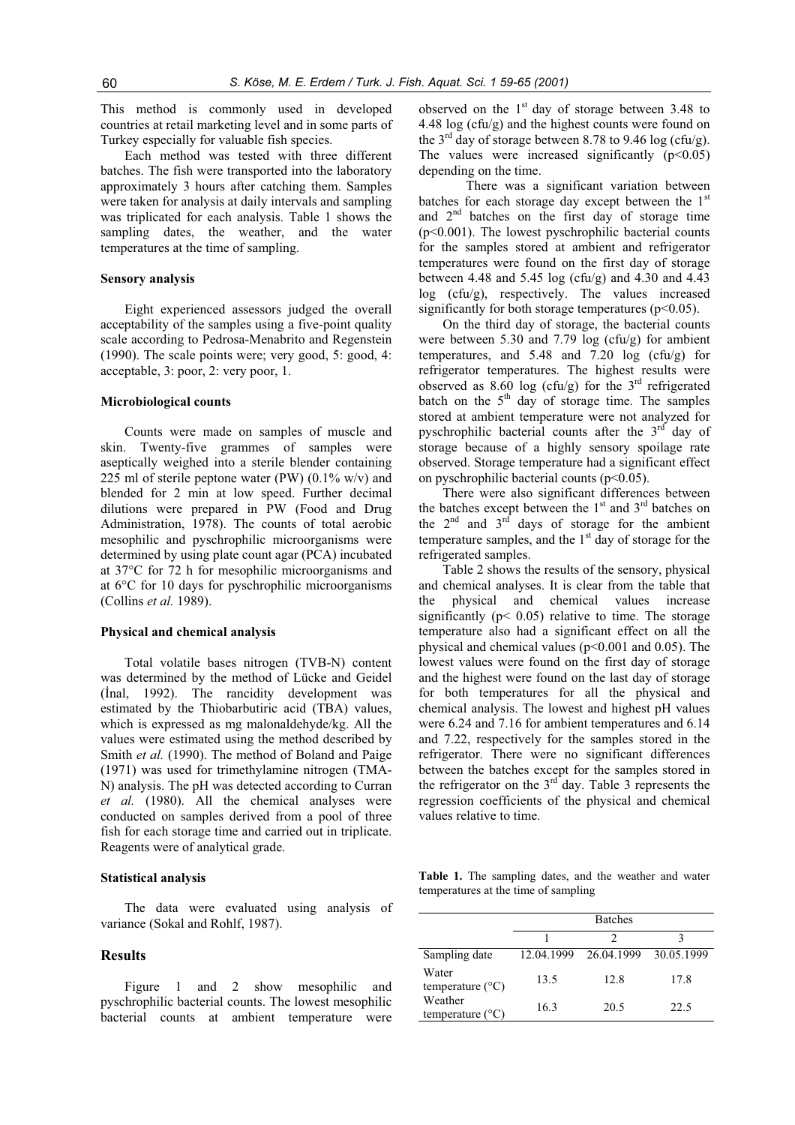This method is commonly used in developed countries at retail marketing level and in some parts of Turkey especially for valuable fish species.

Each method was tested with three different batches. The fish were transported into the laboratory approximately 3 hours after catching them. Samples were taken for analysis at daily intervals and sampling was triplicated for each analysis. Table 1 shows the sampling dates, the weather, and the water temperatures at the time of sampling.

#### **Sensory analysis**

Eight experienced assessors judged the overall acceptability of the samples using a five-point quality scale according to Pedrosa-Menabrito and Regenstein (1990). The scale points were; very good, 5: good, 4: acceptable, 3: poor, 2: very poor, 1.

### **Microbiological counts**

Counts were made on samples of muscle and skin. Twenty-five grammes of samples were aseptically weighed into a sterile blender containing 225 ml of sterile peptone water (PW)  $(0.1\%$  w/v) and blended for 2 min at low speed. Further decimal dilutions were prepared in PW (Food and Drug Administration, 1978). The counts of total aerobic mesophilic and pyschrophilic microorganisms were determined by using plate count agar (PCA) incubated at 37°C for 72 h for mesophilic microorganisms and at 6°C for 10 days for pyschrophilic microorganisms (Collins *et al.* 1989).

#### **Physical and chemical analysis**

Total volatile bases nitrogen (TVB-N) content was determined by the method of Lücke and Geidel (Inal, 1992). The rancidity development was estimated by the Thiobarbutiric acid (TBA) values, which is expressed as mg malonaldehyde/kg. All the values were estimated using the method described by Smith *et al.* (1990). The method of Boland and Paige (1971) was used for trimethylamine nitrogen (TMA-N) analysis. The pH was detected according to Curran *et al.* (1980). All the chemical analyses were conducted on samples derived from a pool of three fish for each storage time and carried out in triplicate. Reagents were of analytical grade.

#### **Statistical analysis**

The data were evaluated using analysis of variance (Sokal and Rohlf, 1987).

#### **Results**

Figure 1 and 2 show mesophilic and pyschrophilic bacterial counts. The lowest mesophilic bacterial counts at ambient temperature were

observed on the  $1<sup>st</sup>$  day of storage between 3.48 to 4.48 log (cfu/g) and the highest counts were found on the 3<sup>rd</sup> day of storage between 8.78 to 9.46 log (cfu/g). The values were increased significantly  $(p<0.05)$ depending on the time.

There was a significant variation between batches for each storage day except between the  $1<sup>st</sup>$ and 2nd batches on the first day of storage time  $(p<0.001)$ . The lowest pyschrophilic bacterial counts for the samples stored at ambient and refrigerator temperatures were found on the first day of storage between 4.48 and 5.45 log (cfu/g) and 4.30 and 4.43 log (cfu/g), respectively. The values increased significantly for both storage temperatures (p<0.05).

On the third day of storage, the bacterial counts were between 5.30 and 7.79 log (cfu/g) for ambient temperatures, and 5.48 and 7.20 log (cfu/g) for refrigerator temperatures. The highest results were observed as 8.60 log (cfu/g) for the  $3<sup>rd</sup>$  refrigerated batch on the  $5<sup>th</sup>$  day of storage time. The samples stored at ambient temperature were not analyzed for pyschrophilic bacterial counts after the  $3<sup>rd</sup>$  day of storage because of a highly sensory spoilage rate observed. Storage temperature had a significant effect on pyschrophilic bacterial counts  $(p<0.05)$ .

There were also significant differences between the batches except between the  $1<sup>st</sup>$  and  $3<sup>rd</sup>$  batches on the  $2^{nd}$  and  $3^{rd}$  days of storage for the ambient temperature samples, and the  $1<sup>st</sup>$  day of storage for the refrigerated samples.

Table 2 shows the results of the sensory, physical and chemical analyses. It is clear from the table that the physical and chemical values increase significantly ( $p$ < 0.05) relative to time. The storage temperature also had a significant effect on all the physical and chemical values (p<0.001 and 0.05). The lowest values were found on the first day of storage and the highest were found on the last day of storage for both temperatures for all the physical and chemical analysis. The lowest and highest pH values were 6.24 and 7.16 for ambient temperatures and 6.14 and 7.22, respectively for the samples stored in the refrigerator. There were no significant differences between the batches except for the samples stored in the refrigerator on the  $3<sup>rd</sup>$  day. Table 3 represents the regression coefficients of the physical and chemical values relative to time.

**Table 1.** The sampling dates, and the weather and water temperatures at the time of sampling

|                                      |            | <b>Batches</b> |            |
|--------------------------------------|------------|----------------|------------|
|                                      |            |                |            |
| Sampling date                        | 12.04.1999 | 26.04.1999     | 30.05.1999 |
| Water<br>temperature $(^{\circ}C)$   | 13.5       | 12.8           | 17.8       |
| Weather<br>temperature $(^{\circ}C)$ | 16.3       | 20.5           | 22.5       |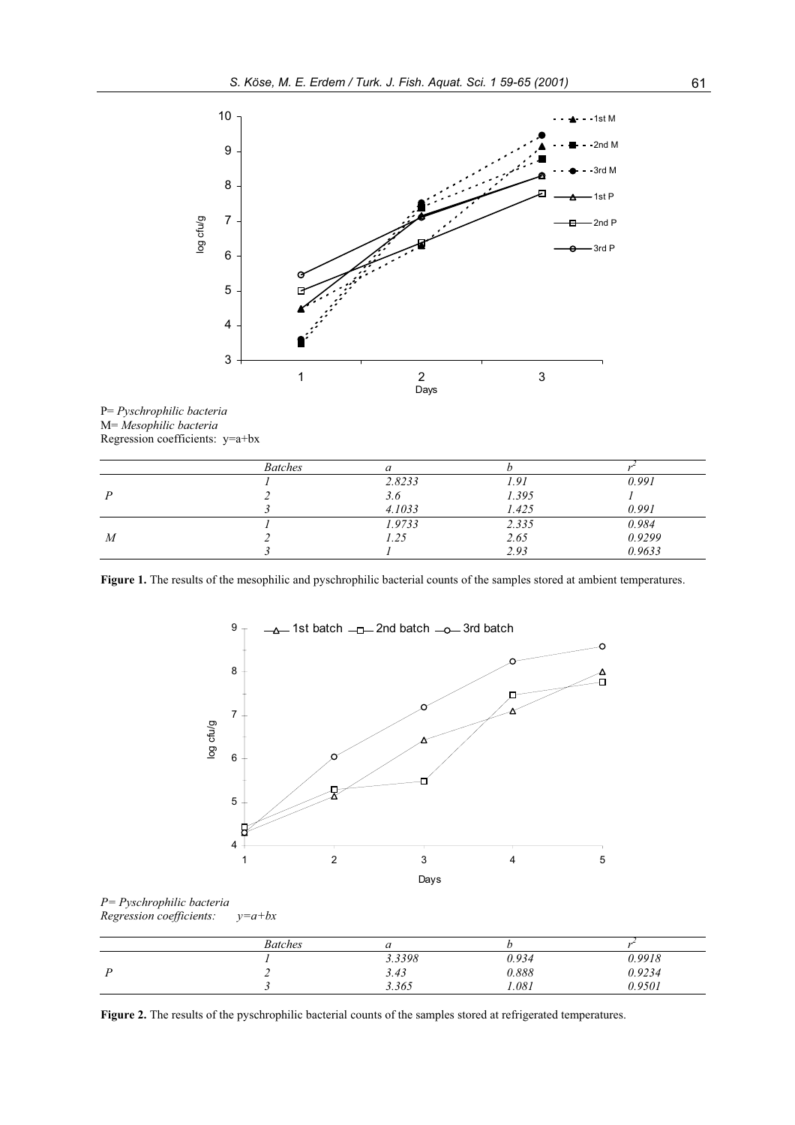



|                | <b>Batches</b> | и      |       |        |
|----------------|----------------|--------|-------|--------|
|                |                | 2.8233 | 1.91  | 0.991  |
|                |                | 3.6    | 1.395 |        |
|                |                | 4.1033 | 1.425 | 0.991  |
|                |                | 1.9733 | 2.335 | 0.984  |
| $\overline{M}$ |                | 1.25   | 2.65  | 0.9299 |
|                |                |        | 2.93  | 0.9633 |

Figure 1. The results of the mesophilic and pyschrophilic bacterial counts of the samples stored at ambient temperatures.



*P= Pyschrophilic bacteria Regression coefficients: y=a+bx* 

| <b>Batches</b> |        |       |        |
|----------------|--------|-------|--------|
|                | 3.3398 | 0.934 | 0.9918 |
|                | 3.43   | 0.888 | 0.9234 |
|                | 3.365  | .081  | 0.9501 |

Figure 2. The results of the pyschrophilic bacterial counts of the samples stored at refrigerated temperatures.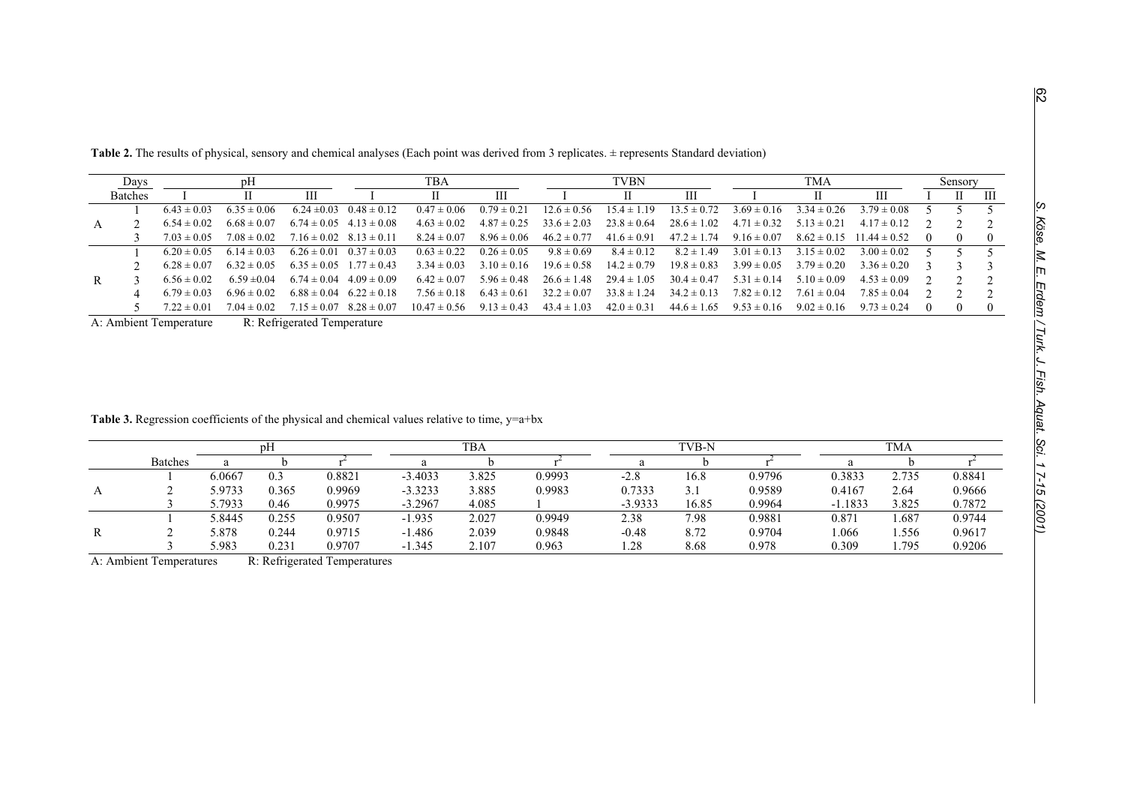|   | Days           | pH              |                 |                 |                                 | TBA              |                 | TVBN            |                 |                 | TMA             |                 |                                  | Sensory  |          |   |
|---|----------------|-----------------|-----------------|-----------------|---------------------------------|------------------|-----------------|-----------------|-----------------|-----------------|-----------------|-----------------|----------------------------------|----------|----------|---|
|   | <b>Batches</b> |                 |                 | Ш               |                                 |                  | Ш               |                 |                 | Ш               |                 |                 | Ш                                |          | H.       | Ш |
|   |                | $6.43 \pm 0.03$ | $6.35 \pm 0.06$ |                 | $6.24 \pm 0.03$ $0.48 \pm 0.12$ | $0.47 \pm 0.06$  | $0.79 \pm 0.21$ | $12.6 \pm 0.56$ | $15.4 \pm 1.19$ | $13.5 \pm 0.72$ | $3.69 \pm 0.16$ | $3.34 \pm 0.26$ | $3.79 \pm 0.08$                  |          |          |   |
|   |                | $6.54 \pm 0.02$ | $6.68 \pm 0.07$ |                 | $6.74 \pm 0.05$ $4.13 \pm 0.08$ | $4.63 \pm 0.02$  | $4.87 \pm 0.25$ | $33.6 \pm 2.03$ | $23.8 \pm 0.64$ | $28.6 \pm 1.02$ | $4.71 \pm 0.32$ | $5.13 \pm 0.21$ | $4.17 \pm 0.12$                  |          |          |   |
|   |                | $7.03 \pm 0.05$ | $7.08 \pm 0.02$ |                 | $7.16 \pm 0.02$ $8.13 \pm 0.11$ | $8.24 \pm 0.07$  | $8.96 \pm 0.06$ | $46.2 \pm 0.77$ | $41.6 \pm 0.91$ | $47.2 \pm 1.74$ | $9.16 \pm 0.07$ |                 | $8.62 \pm 0.15$ $11.44 \pm 0.52$ | $\theta$ | $\Omega$ |   |
|   |                | $6.20 \pm 0.05$ | $6.14 \pm 0.03$ | $6.26 \pm 0.01$ | $0.37 \pm 0.03$                 | $0.63 \pm 0.22$  | $0.26 \pm 0.05$ | $9.8 \pm 0.69$  | $8.4 \pm 0.12$  | $8.2 \pm 1.49$  | $3.01 \pm 0.13$ | $3.15 \pm 0.02$ | $3.00 \pm 0.02$                  |          |          |   |
|   |                | $6.28 \pm 0.07$ | $6.32 \pm 0.05$ |                 | $6.35 \pm 0.05$ $1.77 \pm 0.43$ | $3.34 \pm 0.03$  | $3.10 \pm 0.16$ | $19.6 \pm 0.58$ | $14.2 \pm 0.79$ | $19.8 \pm 0.83$ | $3.99 \pm 0.05$ | $3.79 \pm 0.20$ | $3.36 \pm 0.20$                  |          |          |   |
| R |                | $6.56 \pm 0.02$ | $6.59 \pm 0.04$ | $6.74 \pm 0.04$ | $4.09 \pm 0.09$                 | $6.42 \pm 0.07$  | $5.96 \pm 0.48$ | $26.6 \pm 1.48$ | $29.4 \pm 1.05$ | $30.4 \pm 0.47$ | $5.31 \pm 0.14$ | $5.10 \pm 0.09$ | $4.53 \pm 0.09$                  |          |          |   |
|   |                | $6.79 \pm 0.03$ | $6.96 \pm 0.02$ | $6.88 \pm 0.04$ | $6.22 \pm 0.18$                 | $7.56 \pm 0.18$  | $6.43 \pm 0.61$ | $32.2 \pm 0.07$ | $33.8 \pm 1.24$ | $34.2 \pm 0.13$ | $7.82 \pm 0.12$ | $7.61 \pm 0.04$ | $7.85 \pm 0.04$                  |          |          |   |
|   |                | $7.22 \pm 0.01$ | $7.04 \pm 0.02$ | $715 \pm 0.07$  | $8.28 \pm 0.07$                 | $10.47 \pm 0.56$ | $9.13 \pm 0.43$ | $43.4 \pm 1.03$ | $42.0 \pm 0.31$ | $44.6 \pm 1.65$ | $9.53 \pm 0.16$ | $9.02 \pm 0.16$ | $9.73 \pm 0.24$                  |          | 0        |   |

Table 2. The results of physical, sensory and chemical analyses (Each point was derived from 3 replicates. ± represents Standard deviation)

A: Ambient Temperature R: Refrigerated Temperature

| <b>Table 3.</b> Regression coefficients of the physical and chemical values relative to time, $y=a+bx$ |  |  |  |
|--------------------------------------------------------------------------------------------------------|--|--|--|
|                                                                                                        |  |  |  |

|   | pH             |        |       | <b>TBA</b> |           |       |        | TVB-N     |       |        | <b>TMA</b> |       |        |  |
|---|----------------|--------|-------|------------|-----------|-------|--------|-----------|-------|--------|------------|-------|--------|--|
|   | <b>Batches</b> |        |       |            | a         |       |        |           |       |        |            |       |        |  |
|   |                | 6.0667 | 0.3   | 0.8821     | $-3.4033$ | 3.825 | 0.9993 | $-2.8$    | 16.8  | 0.9796 | 0.3833     | 2.735 | 0.8841 |  |
| А |                | 5.9733 | 0.365 | 0.9969     | $-3.3233$ | 3.885 | 0.9983 | 0.7333    | 3.1   | 0.9589 | 0.4167     | 2.64  | 0.9666 |  |
|   |                | 5.7933 | 0.46  | 0.9975     | $-3.2967$ | 4.085 |        | $-3.9333$ | 16.85 | 0.9964 | $-1.1833$  | 3.825 | 0.7872 |  |
|   |                | 5.8445 | 0.255 | 0.9507     | $-1.935$  | 2.027 | 0.9949 | 2.38      | 7.98  | 0.9881 | 0.871      | 1.687 | 0.9744 |  |
| R |                | 5.878  | 0.244 | 0.9715     | $-1.486$  | 2.039 | 0.9848 | $-0.48$   | 8.72  | 0.9704 | .066       | 1.556 | 0.9617 |  |
|   |                | 5.983  | 0.231 | 0.9707     | $-1.345$  | 2.107 | 0.963  | 1.28      | 8.68  | 0.978  | 0.309      | . 795 | 0.9206 |  |

A: Ambient Temperatures R: Refrigerated Temperatures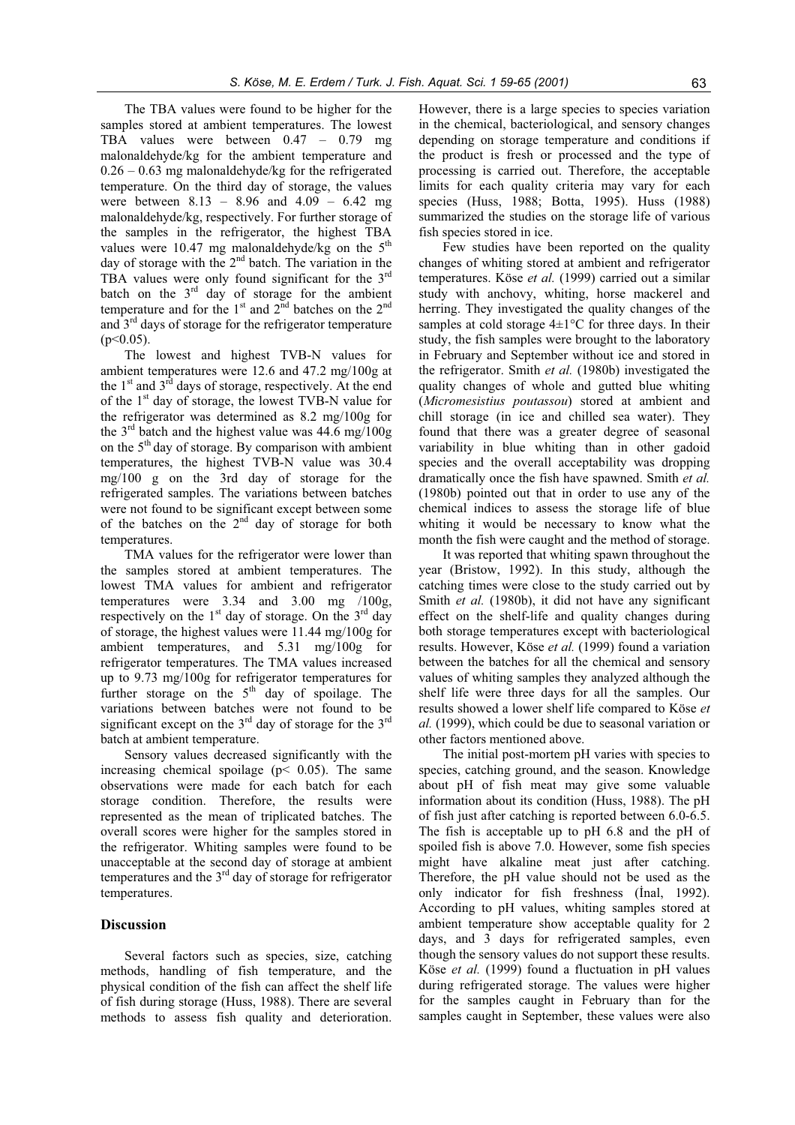The TBA values were found to be higher for the samples stored at ambient temperatures. The lowest TBA values were between 0.47 – 0.79 mg malonaldehyde/kg for the ambient temperature and  $0.26 - 0.63$  mg malonaldehyde/kg for the refrigerated temperature. On the third day of storage, the values were between 8.13 – 8.96 and 4.09 – 6.42 mg malonaldehyde/kg, respectively. For further storage of the samples in the refrigerator, the highest TBA values were 10.47 mg malonaldehyde/kg on the  $5<sup>th</sup>$ day of storage with the 2<sup>nd</sup> batch. The variation in the TBA values were only found significant for the  $3<sup>rd</sup>$ batch on the  $3<sup>rd</sup>$  day of storage for the ambient temperature and for the  $1<sup>st</sup>$  and  $2<sup>nd</sup>$  batches on the  $2<sup>nd</sup>$ and 3rd days of storage for the refrigerator temperature  $(p<0.05)$ .

The lowest and highest TVB-N values for ambient temperatures were 12.6 and 47.2 mg/100g at the  $1<sup>st</sup>$  and  $3<sup>rd</sup>$  days of storage, respectively. At the end of the  $1<sup>st</sup>$  day of storage, the lowest TVB-N value for the refrigerator was determined as 8.2 mg/100g for the  $3<sup>rd</sup>$  batch and the highest value was 44.6 mg/100g on the  $5<sup>th</sup>$  day of storage. By comparison with ambient temperatures, the highest TVB-N value was 30.4 mg/100 g on the 3rd day of storage for the refrigerated samples. The variations between batches were not found to be significant except between some of the batches on the  $2<sup>nd</sup>$  day of storage for both temperatures.

TMA values for the refrigerator were lower than the samples stored at ambient temperatures. The lowest TMA values for ambient and refrigerator temperatures were 3.34 and 3.00 mg /100g, respectively on the  $1<sup>st</sup>$  day of storage. On the  $3<sup>rd</sup>$  day of storage, the highest values were 11.44 mg/100g for ambient temperatures, and 5.31 mg/100g for refrigerator temperatures. The TMA values increased up to 9.73 mg/100g for refrigerator temperatures for further storage on the  $5<sup>th</sup>$  day of spoilage. The variations between batches were not found to be significant except on the  $3<sup>rd</sup>$  day of storage for the  $3<sup>rd</sup>$ batch at ambient temperature.

Sensory values decreased significantly with the increasing chemical spoilage ( $p < 0.05$ ). The same observations were made for each batch for each storage condition. Therefore, the results were represented as the mean of triplicated batches. The overall scores were higher for the samples stored in the refrigerator. Whiting samples were found to be unacceptable at the second day of storage at ambient temperatures and the  $3<sup>rd</sup>$  day of storage for refrigerator temperatures.

#### **Discussion**

Several factors such as species, size, catching methods, handling of fish temperature, and the physical condition of the fish can affect the shelf life of fish during storage (Huss, 1988). There are several methods to assess fish quality and deterioration. However, there is a large species to species variation in the chemical, bacteriological, and sensory changes depending on storage temperature and conditions if the product is fresh or processed and the type of processing is carried out. Therefore, the acceptable limits for each quality criteria may vary for each species (Huss, 1988; Botta, 1995). Huss (1988) summarized the studies on the storage life of various fish species stored in ice.

Few studies have been reported on the quality changes of whiting stored at ambient and refrigerator temperatures. Köse *et al.* (1999) carried out a similar study with anchovy, whiting, horse mackerel and herring. They investigated the quality changes of the samples at cold storage  $4\pm1$ °C for three days. In their study, the fish samples were brought to the laboratory in February and September without ice and stored in the refrigerator. Smith *et al.* (1980b) investigated the quality changes of whole and gutted blue whiting (*Micromesistius poutassou*) stored at ambient and chill storage (in ice and chilled sea water). They found that there was a greater degree of seasonal variability in blue whiting than in other gadoid species and the overall acceptability was dropping dramatically once the fish have spawned. Smith *et al.* (1980b) pointed out that in order to use any of the chemical indices to assess the storage life of blue whiting it would be necessary to know what the month the fish were caught and the method of storage.

It was reported that whiting spawn throughout the year (Bristow, 1992). In this study, although the catching times were close to the study carried out by Smith *et al.* (1980b), it did not have any significant effect on the shelf-life and quality changes during both storage temperatures except with bacteriological results. However, Köse *et al.* (1999) found a variation between the batches for all the chemical and sensory values of whiting samples they analyzed although the shelf life were three days for all the samples. Our results showed a lower shelf life compared to Köse *et al.* (1999), which could be due to seasonal variation or other factors mentioned above.

The initial post-mortem pH varies with species to species, catching ground, and the season. Knowledge about pH of fish meat may give some valuable information about its condition (Huss, 1988). The pH of fish just after catching is reported between 6.0-6.5. The fish is acceptable up to pH 6.8 and the pH of spoiled fish is above 7.0. However, some fish species might have alkaline meat just after catching. Therefore, the pH value should not be used as the only indicator for fish freshness (Inal, 1992). According to pH values, whiting samples stored at ambient temperature show acceptable quality for 2 days, and 3 days for refrigerated samples, even though the sensory values do not support these results. Köse *et al.* (1999) found a fluctuation in pH values during refrigerated storage. The values were higher for the samples caught in February than for the samples caught in September, these values were also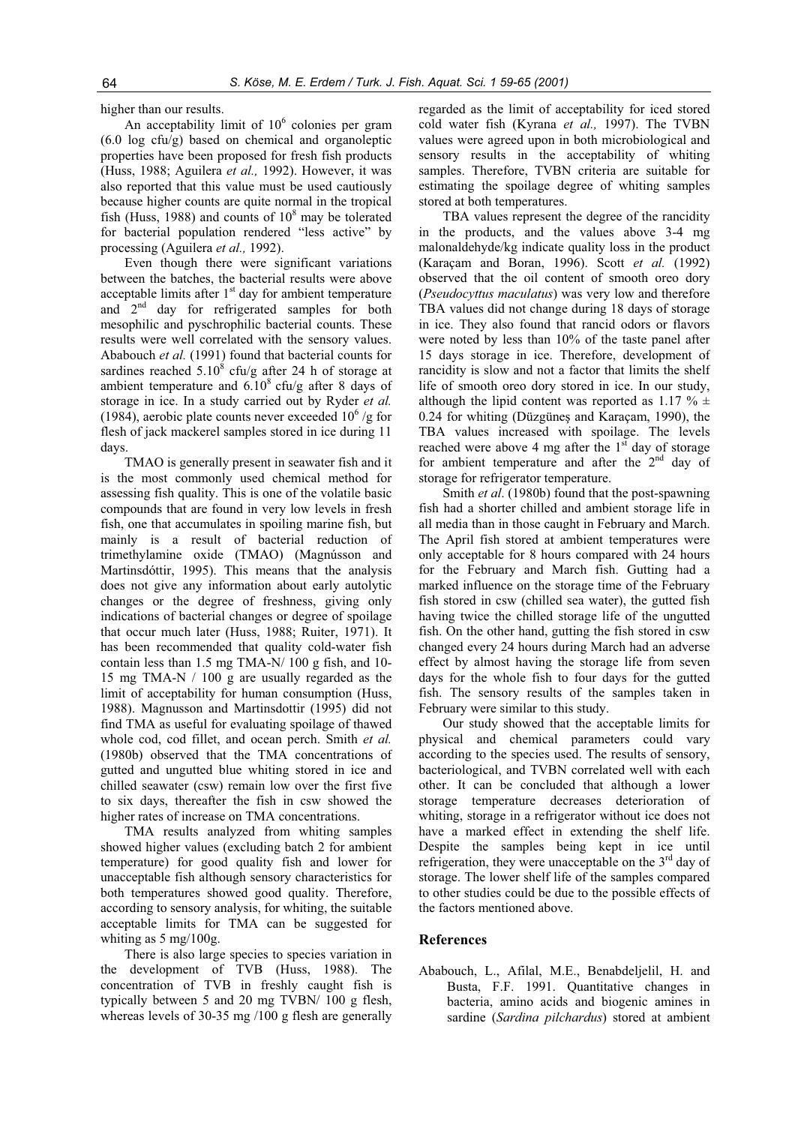higher than our results.

An acceptability limit of  $10^6$  colonies per gram  $(6.0 \log ctu/g)$  based on chemical and organoleptic properties have been proposed for fresh fish products (Huss, 1988; Aguilera *et al.,* 1992). However, it was also reported that this value must be used cautiously because higher counts are quite normal in the tropical fish (Huss, 1988) and counts of  $10^8$  may be tolerated for bacterial population rendered "less active" by processing (Aguilera *et al.,* 1992).

Even though there were significant variations between the batches, the bacterial results were above acceptable limits after  $1<sup>st</sup>$  day for ambient temperature and  $2<sup>nd</sup>$  day for refrigerated samples for both mesophilic and pyschrophilic bacterial counts. These results were well correlated with the sensory values. Ababouch *et al.* (1991) found that bacterial counts for sardines reached  $5.10^8$  cfu/g after 24 h of storage at ambient temperature and  $6.10^8$  cfu/g after 8 days of storage in ice. In a study carried out by Ryder *et al.* (1984), aerobic plate counts never exceeded  $10^6$  /g for flesh of jack mackerel samples stored in ice during 11 days.

TMAO is generally present in seawater fish and it is the most commonly used chemical method for assessing fish quality. This is one of the volatile basic compounds that are found in very low levels in fresh fish, one that accumulates in spoiling marine fish, but mainly is a result of bacterial reduction of trimethylamine oxide (TMAO) (Magnússon and Martinsdóttir, 1995). This means that the analysis does not give any information about early autolytic changes or the degree of freshness, giving only indications of bacterial changes or degree of spoilage that occur much later (Huss, 1988; Ruiter, 1971). It has been recommended that quality cold-water fish contain less than 1.5 mg TMA-N/ 100 g fish, and 10- 15 mg TMA-N / 100 g are usually regarded as the limit of acceptability for human consumption (Huss, 1988). Magnusson and Martinsdottir (1995) did not find TMA as useful for evaluating spoilage of thawed whole cod, cod fillet, and ocean perch. Smith *et al.* (1980b) observed that the TMA concentrations of gutted and ungutted blue whiting stored in ice and chilled seawater (csw) remain low over the first five to six days, thereafter the fish in csw showed the higher rates of increase on TMA concentrations.

TMA results analyzed from whiting samples showed higher values (excluding batch 2 for ambient temperature) for good quality fish and lower for unacceptable fish although sensory characteristics for both temperatures showed good quality. Therefore, according to sensory analysis, for whiting, the suitable acceptable limits for TMA can be suggested for whiting as 5 mg/100g.

There is also large species to species variation in the development of TVB (Huss, 1988). The concentration of TVB in freshly caught fish is typically between 5 and 20 mg TVBN/ 100 g flesh, whereas levels of 30-35 mg /100 g flesh are generally

regarded as the limit of acceptability for iced stored cold water fish (Kyrana *et al.,* 1997). The TVBN values were agreed upon in both microbiological and sensory results in the acceptability of whiting samples. Therefore, TVBN criteria are suitable for estimating the spoilage degree of whiting samples stored at both temperatures.

TBA values represent the degree of the rancidity in the products, and the values above 3-4 mg malonaldehyde/kg indicate quality loss in the product (Karaçam and Boran, 1996). Scott *et al.* (1992) observed that the oil content of smooth oreo dory (*Pseudocyttus maculatus*) was very low and therefore TBA values did not change during 18 days of storage in ice. They also found that rancid odors or flavors were noted by less than 10% of the taste panel after 15 days storage in ice. Therefore, development of rancidity is slow and not a factor that limits the shelf life of smooth oreo dory stored in ice. In our study, although the lipid content was reported as 1.17  $\% \pm$ 0.24 for whiting (Düzgüneş and Karaçam, 1990), the TBA values increased with spoilage. The levels reached were above 4 mg after the  $1<sup>st</sup>$  day of storage for ambient temperature and after the 2<sup>nd</sup> day of storage for refrigerator temperature.

Smith *et al*. (1980b) found that the post-spawning fish had a shorter chilled and ambient storage life in all media than in those caught in February and March. The April fish stored at ambient temperatures were only acceptable for 8 hours compared with 24 hours for the February and March fish. Gutting had a marked influence on the storage time of the February fish stored in csw (chilled sea water), the gutted fish having twice the chilled storage life of the ungutted fish. On the other hand, gutting the fish stored in csw changed every 24 hours during March had an adverse effect by almost having the storage life from seven days for the whole fish to four days for the gutted fish. The sensory results of the samples taken in February were similar to this study.

Our study showed that the acceptable limits for physical and chemical parameters could vary according to the species used. The results of sensory, bacteriological, and TVBN correlated well with each other. It can be concluded that although a lower storage temperature decreases deterioration of whiting, storage in a refrigerator without ice does not have a marked effect in extending the shelf life. Despite the samples being kept in ice until refrigeration, they were unacceptable on the  $3<sup>rd</sup>$  day of storage. The lower shelf life of the samples compared to other studies could be due to the possible effects of the factors mentioned above.

#### **References**

Ababouch, L., Afilal, M.E., Benabdeljelil, H. and Busta, F.F. 1991. Quantitative changes in bacteria, amino acids and biogenic amines in sardine (*Sardina pilchardus*) stored at ambient